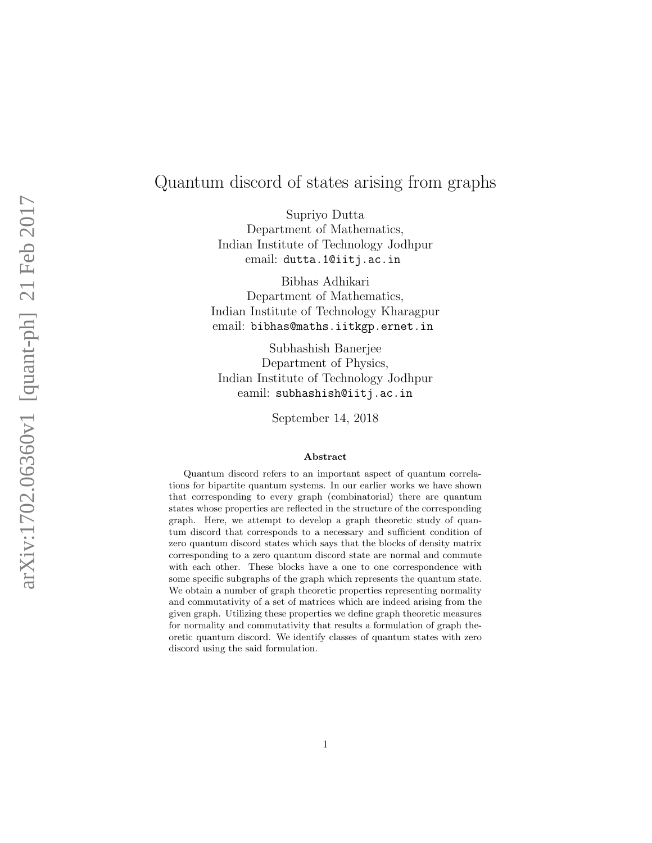# Quantum discord of states arising from graphs

Supriyo Dutta Department of Mathematics, Indian Institute of Technology Jodhpur email: dutta.1@iitj.ac.in

Bibhas Adhikari Department of Mathematics, Indian Institute of Technology Kharagpur email: bibhas@maths.iitkgp.ernet.in

Subhashish Banerjee Department of Physics, Indian Institute of Technology Jodhpur eamil: subhashish@iitj.ac.in

September 14, 2018

#### Abstract

Quantum discord refers to an important aspect of quantum correlations for bipartite quantum systems. In our earlier works we have shown that corresponding to every graph (combinatorial) there are quantum states whose properties are reflected in the structure of the corresponding graph. Here, we attempt to develop a graph theoretic study of quantum discord that corresponds to a necessary and sufficient condition of zero quantum discord states which says that the blocks of density matrix corresponding to a zero quantum discord state are normal and commute with each other. These blocks have a one to one correspondence with some specific subgraphs of the graph which represents the quantum state. We obtain a number of graph theoretic properties representing normality and commutativity of a set of matrices which are indeed arising from the given graph. Utilizing these properties we define graph theoretic measures for normality and commutativity that results a formulation of graph theoretic quantum discord. We identify classes of quantum states with zero discord using the said formulation.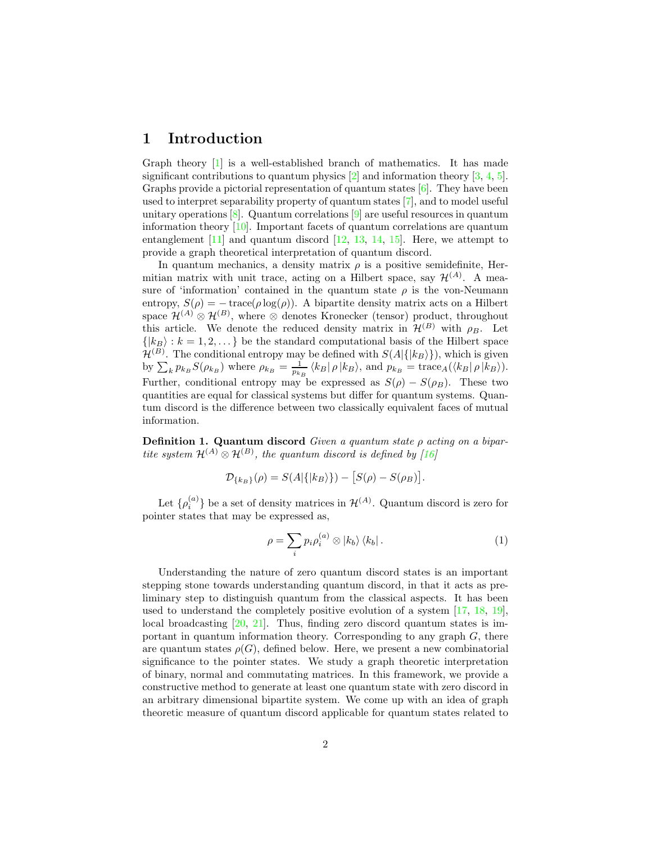#### 1 Introduction

Graph theory [1] is a well-established branch of mathematics. It has made significant contributions to quantum physics  $[2]$  and information theory  $[3, 4, 5]$ . Graphs provide a pictorial representation of quantum states  $[6]$ . They have been used to interpret separability property of quantum states [7], and to model useful unitary operations  $[8]$ . Quantum correlations  $[9]$  are useful resources in quantum information theory [10]. Important facets of quantum correlations are quantum entanglement  $[11]$  and quantum discord  $[12, 13, 14, 15]$ . Here, we attempt to provide a graph theoretical interpretation of quantum discord.

In quantum mechanics, a density matrix  $\rho$  is a positive semidefinite, Hermitian matrix with unit trace, acting on a Hilbert space, say  $\mathcal{H}^{(A)}$ . A measure of 'information' contained in the quantum state  $\rho$  is the von-Neumann entropy,  $S(\rho) = -\operatorname{trace}(\rho \log(\rho))$ . A bipartite density matrix acts on a Hilbert space  $\mathcal{H}^{(A)} \otimes \mathcal{H}^{(B)}$ , where  $\otimes$  denotes Kronecker (tensor) product, throughout this article. We denote the reduced density matrix in  $\mathcal{H}^{(B)}$  with  $\rho_B$ . Let  $\{|k_B\rangle : k = 1, 2, \ldots\}$  be the standard computational basis of the Hilbert space  $\mathcal{H}^{(B)}$ . The conditional entropy may be defined with  $S(A|\{|k_B\rangle\})$ , which is given by  $\sum_{k} p_{k} S(\rho_{k})$  where  $\rho_{k} = \frac{1}{p_{k}} \langle k| \rho | k \rangle$ , and  $p_{k} = \text{trace}_{A}(\langle k| \rho | k \rangle)$ . Further, conditional entropy may be expressed as  $S(\rho) - S(\rho_B)$ . These two quantities are equal for classical systems but differ for quantum systems. Quantum discord is the difference between two classically equivalent faces of mutual information.

Definition 1. Quantum discord *Given a quantum state* ρ *acting on a bipartite system*  $\mathcal{H}^{(A)} \otimes \mathcal{H}^{(B)}$ , the quantum discord is defined by [16]

$$
\mathcal{D}_{\{k_B\}}(\rho) = S(A|\{|k_B\rangle\}) - [S(\rho) - S(\rho_B)].
$$

Let  $\{\rho_i^{(a)}\}$  be a set of density matrices in  $\mathcal{H}^{(A)}$ . Quantum discord is zero for pointer states that may be expressed as,

$$
\rho = \sum_{i} p_i \rho_i^{(a)} \otimes |k_b\rangle \langle k_b| \,. \tag{1}
$$

Understanding the nature of zero quantum discord states is an important stepping stone towards understanding quantum discord, in that it acts as preliminary step to distinguish quantum from the classical aspects. It has been used to understand the completely positive evolution of a system [17, 18, 19], local broadcasting  $[20, 21]$ . Thus, finding zero discord quantum states is important in quantum information theory. Corresponding to any graph  $G$ , there are quantum states  $\rho(G)$ , defined below. Here, we present a new combinatorial significance to the pointer states. We study a graph theoretic interpretation of binary, normal and commutating matrices. In this framework, we provide a constructive method to generate at least one quantum state with zero discord in an arbitrary dimensional bipartite system. We come up with an idea of graph theoretic measure of quantum discord applicable for quantum states related to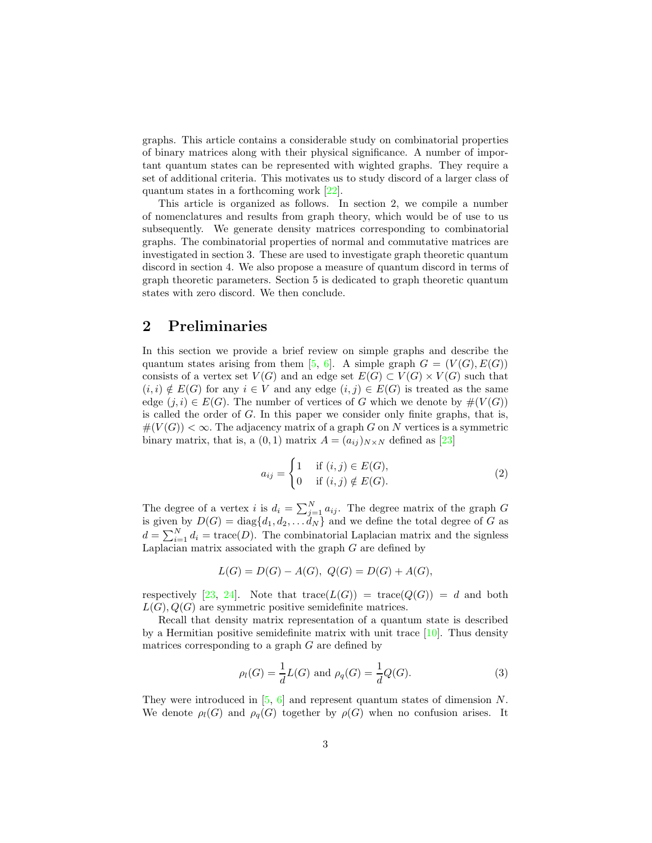graphs. This article contains a considerable study on combinatorial properties of binary matrices along with their physical significance. A number of important quantum states can be represented with wighted graphs. They require a set of additional criteria. This motivates us to study discord of a larger class of quantum states in a forthcoming work [22].

This article is organized as follows. In section 2, we compile a number of nomenclatures and results from graph theory, which would be of use to us subsequently. We generate density matrices corresponding to combinatorial graphs. The combinatorial properties of normal and commutative matrices are investigated in section 3. These are used to investigate graph theoretic quantum discord in section 4. We also propose a measure of quantum discord in terms of graph theoretic parameters. Section 5 is dedicated to graph theoretic quantum states with zero discord. We then conclude.

### 2 Preliminaries

In this section we provide a brief review on simple graphs and describe the quantum states arising from them [5, 6]. A simple graph  $G = (V(G), E(G))$ consists of a vertex set  $V(G)$  and an edge set  $E(G) \subset V(G) \times V(G)$  such that  $(i, i) \notin E(G)$  for any  $i \in V$  and any edge  $(i, j) \in E(G)$  is treated as the same edge  $(j, i) \in E(G)$ . The number of vertices of G which we denote by  $\#(V(G))$ is called the order of G. In this paper we consider only finite graphs, that is,  $#(V(G)) < \infty$ . The adjacency matrix of a graph G on N vertices is a symmetric binary matrix, that is, a  $(0, 1)$  matrix  $A = (a_{ij})_{N \times N}$  defined as [23]

$$
a_{ij} = \begin{cases} 1 & \text{if } (i,j) \in E(G), \\ 0 & \text{if } (i,j) \notin E(G). \end{cases}
$$
 (2)

The degree of a vertex *i* is  $d_i = \sum_{j=1}^{N} a_{ij}$ . The degree matrix of the graph G is given by  $D(G) = \text{diag}\{d_1, d_2, \ldots d_N\}$  and we define the total degree of G as  $d = \sum_{i=1}^{N} d_i = \text{trace}(D)$ . The combinatorial Laplacian matrix and the signless Laplacian matrix associated with the graph  $G$  are defined by

$$
L(G) = D(G) - A(G), \ Q(G) = D(G) + A(G),
$$

respectively [23, 24]. Note that  $trace(L(G)) = trace(Q(G)) = d$  and both  $L(G), Q(G)$  are symmetric positive semidefinite matrices.

Recall that density matrix representation of a quantum state is described by a Hermitian positive semidefinite matrix with unit trace  $[10]$ . Thus density matrices corresponding to a graph  $G$  are defined by

$$
\rho_l(G) = \frac{1}{d}L(G)
$$
 and  $\rho_q(G) = \frac{1}{d}Q(G)$ . (3)

They were introduced in  $[5, 6]$  and represent quantum states of dimension N. We denote  $\rho_l(G)$  and  $\rho_q(G)$  together by  $\rho(G)$  when no confusion arises. It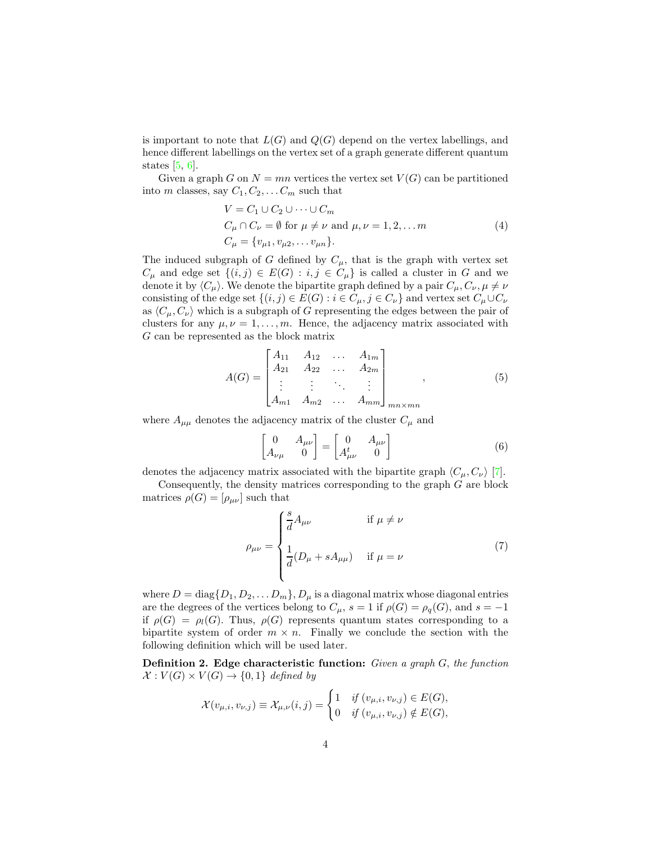is important to note that  $L(G)$  and  $Q(G)$  depend on the vertex labellings, and hence different labellings on the vertex set of a graph generate different quantum states  $[5, 6]$ .

Given a graph G on  $N = mn$  vertices the vertex set  $V(G)$  can be partitioned into m classes, say  $C_1, C_2, \ldots C_m$  such that

$$
V = C_1 \cup C_2 \cup \dots \cup C_m
$$
  
\n
$$
C_{\mu} \cap C_{\nu} = \emptyset \text{ for } \mu \neq \nu \text{ and } \mu, \nu = 1, 2, \dots m
$$
  
\n
$$
C_{\mu} = \{v_{\mu 1}, v_{\mu 2}, \dots v_{\mu n}\}.
$$
\n(4)

The induced subgraph of G defined by  $C_{\mu}$ , that is the graph with vertex set  $C_{\mu}$  and edge set  $\{(i,j) \in E(G) : i, j \in C_{\mu}\}\$ is called a cluster in G and we denote it by  $\langle C_{\mu} \rangle$ . We denote the bipartite graph defined by a pair  $C_{\mu}, C_{\nu}, \mu \neq \nu$ consisting of the edge set  $\{(i, j) \in E(G) : i \in C_{\mu}, j \in C_{\nu}\}\$  and vertex set  $C_{\mu} \cup C_{\nu}$ as  $\langle C_\mu, C_\nu \rangle$  which is a subgraph of G representing the edges between the pair of clusters for any  $\mu, \nu = 1, \ldots, m$ . Hence, the adjacency matrix associated with G can be represented as the block matrix

$$
A(G) = \begin{bmatrix} A_{11} & A_{12} & \dots & A_{1m} \\ A_{21} & A_{22} & \dots & A_{2m} \\ \vdots & \vdots & \ddots & \vdots \\ A_{m1} & A_{m2} & \dots & A_{mm} \end{bmatrix}_{mn \times mn},
$$
 (5)

where  $A_{\mu\mu}$  denotes the adjacency matrix of the cluster  $C_{\mu}$  and

$$
\begin{bmatrix} 0 & A_{\mu\nu} \\ A_{\nu\mu} & 0 \end{bmatrix} = \begin{bmatrix} 0 & A_{\mu\nu} \\ A^t_{\mu\nu} & 0 \end{bmatrix}
$$
 (6)

denotes the adjacency matrix associated with the bipartite graph  $\langle C_{\mu}, C_{\nu} \rangle$  [7].

Consequently, the density matrices corresponding to the graph  $G$  are block matrices  $\rho(G) = [\rho_{\mu\nu}]$  such that

$$
\rho_{\mu\nu} = \begin{cases} \frac{s}{d} A_{\mu\nu} & \text{if } \mu \neq \nu \\ \frac{1}{d} (D_{\mu} + s A_{\mu\mu}) & \text{if } \mu = \nu \end{cases}
$$
(7)

where  $D = \text{diag}\{D_1, D_2, \ldots D_m\}, D_\mu$  is a diagonal matrix whose diagonal entries are the degrees of the vertices belong to  $C_{\mu}$ ,  $s = 1$  if  $\rho(G) = \rho_q(G)$ , and  $s = -1$ if  $\rho(G) = \rho_l(G)$ . Thus,  $\rho(G)$  represents quantum states corresponding to a bipartite system of order  $m \times n$ . Finally we conclude the section with the following definition which will be used later.

Definition 2. Edge characteristic function: *Given a graph* G, *the function*  $\mathcal{X}: V(G) \times V(G) \rightarrow \{0,1\}$  defined by

$$
\mathcal{X}(v_{\mu,i},v_{\nu,j}) \equiv \mathcal{X}_{\mu,\nu}(i,j) = \begin{cases} 1 & \text{if } (v_{\mu,i},v_{\nu,j}) \in E(G), \\ 0 & \text{if } (v_{\mu,i},v_{\nu,j}) \notin E(G), \end{cases}
$$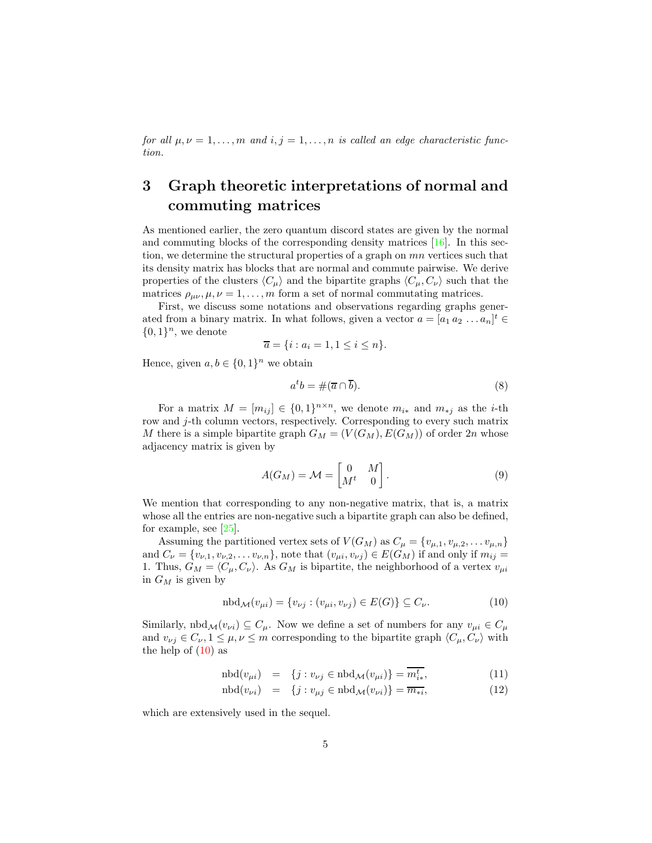*for all*  $\mu, \nu = 1, \ldots, m$  *and*  $i, j = 1, \ldots, n$  *is called an edge characteristic function.*

# 3 Graph theoretic interpretations of normal and commuting matrices

As mentioned earlier, the zero quantum discord states are given by the normal and commuting blocks of the corresponding density matrices [16]. In this section, we determine the structural properties of a graph on mn vertices such that its density matrix has blocks that are normal and commute pairwise. We derive properties of the clusters  $\langle C_\mu \rangle$  and the bipartite graphs  $\langle C_\mu, C_\nu \rangle$  such that the matrices  $\rho_{\mu\nu}, \mu, \nu = 1, \ldots, m$  form a set of normal commutating matrices.

First, we discuss some notations and observations regarding graphs generated from a binary matrix. In what follows, given a vector  $a = [a_1 a_2 ... a_n]^t \in$  $\{0,1\}^n$ , we denote

$$
\overline{a} = \{i : a_i = 1, 1 \le i \le n\}.
$$

Hence, given  $a, b \in \{0, 1\}^n$  we obtain

$$
a^t b = \#(\overline{a} \cap \overline{b}).\tag{8}
$$

For a matrix  $M = [m_{ij}] \in \{0,1\}^{n \times n}$ , we denote  $m_{i*}$  and  $m_{*j}$  as the *i*-th row and  $j$ -th column vectors, respectively. Corresponding to every such matrix M there is a simple bipartite graph  $G_M = (V(G_M), E(G_M))$  of order 2n whose adjacency matrix is given by

$$
A(G_M) = \mathcal{M} = \begin{bmatrix} 0 & M \\ M^t & 0 \end{bmatrix}.
$$
 (9)

We mention that corresponding to any non-negative matrix, that is, a matrix whose all the entries are non-negative such a bipartite graph can also be defined, for example, see [25].

Assuming the partitioned vertex sets of  $V(G_M)$  as  $C_\mu = \{v_{\mu,1}, v_{\mu,2}, \dots v_{\mu,n}\}\$ and  $C_{\nu} = \{v_{\nu,1}, v_{\nu,2}, \ldots v_{\nu,n}\}\,$  note that  $(v_{\mu i}, v_{\nu j}) \in E(G_M)$  if and only if  $m_{ij} =$ 1. Thus,  $G_M = \langle C_\mu, C_\nu \rangle$ . As  $G_M$  is bipartite, the neighborhood of a vertex  $v_{\mu i}$ in  $G_M$  is given by

$$
\mathrm{nbd}_{\mathcal{M}}(v_{\mu i}) = \{v_{\nu j} : (v_{\mu i}, v_{\nu j}) \in E(G)\} \subseteq C_{\nu}.
$$
\n
$$
(10)
$$

Similarly,  $\text{nbd}_{\mathcal{M}}(v_{\nu i}) \subseteq C_{\mu}$ . Now we define a set of numbers for any  $v_{\mu i} \in C_{\mu}$ and  $v_{\nu j} \in C_{\nu}$ ,  $1 \leq \mu, \nu \leq m$  corresponding to the bipartite graph  $\langle C_{\mu}, C_{\nu} \rangle$  with the help of  $(10)$  as

$$
\text{nbd}(v_{\mu i}) = \{j : v_{\nu j} \in \text{nbd}_{\mathcal{M}}(v_{\mu i})\} = m_{i*}^t,\tag{11}
$$

$$
\text{nbd}(v_{\nu i}) = \{j : v_{\mu j} \in \text{nbd}_{\mathcal{M}}(v_{\nu i})\} = \overline{m_{*i}},\tag{12}
$$

which are extensively used in the sequel.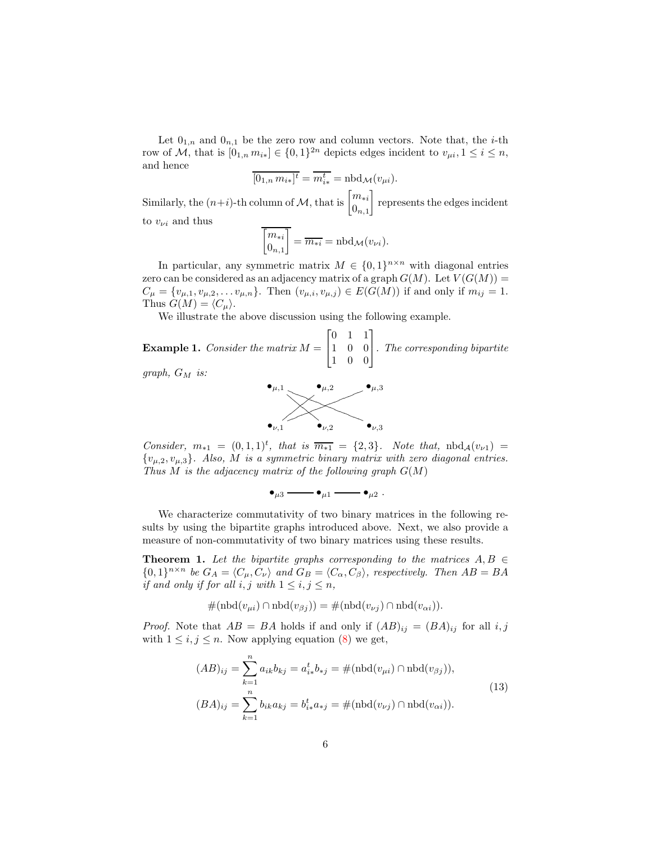Let  $\boldsymbol{0}_{1,n}$  and  $\boldsymbol{0}_{n,1}$  be the zero row and column vectors. Note that, the  $i\text{-th}$ row of M, that is  $[0_{1,n} m_{i*}] \in \{0,1\}^{2n}$  depicts edges incident to  $v_{\mu i}, 1 \le i \le n$ , and hence

$$
\overline{[0_{1,n} m_{i*}]^t} = \overline{m_{i*}^t} = \text{nbd}_{\mathcal{M}}(v_{\mu i}).
$$

Similarly, the  $(n+i)$ -th column of M, that is  $\begin{bmatrix} m_{*i} \\ 0 \end{bmatrix}$  $0_{n,1}$ represents the edges incident

to  $v_{\nu i}$  and thus

$$
\overline{\begin{bmatrix} m_{*i} \\ 0_{n,1} \end{bmatrix}} = \overline{m_{*i}} = \text{nbd}_{\mathcal{M}}(v_{\nu i}).
$$

In particular, any symmetric matrix  $M \in \{0,1\}^{n \times n}$  with diagonal entries zero can be considered as an adjacency matrix of a graph  $G(M)$ . Let  $V(G(M))$  =  $C_{\mu} = \{v_{\mu,1}, v_{\mu,2}, \dots v_{\mu,n}\}.$  Then  $(v_{\mu,i}, v_{\mu,j}) \in E(G(M))$  if and only if  $m_{ij} = 1$ . Thus  $G(M) = \langle C_{\mu} \rangle$ .

We illustrate the above discussion using the following example.

Example 1. *Consider the matrix* M =  $\sqrt{ }$  $\overline{\phantom{a}}$ 0 1 1 1 0 0 1 0 0 1 *. The corresponding bipartite*

*graph,* G<sup>M</sup> *is:*



*Consider,*  $m_{*1} = (0, 1, 1)^t$ , that is  $\overline{m_{*1}} = \{2, 3\}$ . Note that,  $nbd_A(v_{\nu1}) =$ {vµ,2, vµ,3}*. Also,* M *is a symmetric binary matrix with zero diagonal entries. Thus* M *is the adjacency matrix of the following graph* G(M)

$$
\bullet_{\mu 3} \longrightarrow \bullet_{\mu 1} \longrightarrow \bullet_{\mu 2} .
$$

We characterize commutativity of two binary matrices in the following results by using the bipartite graphs introduced above. Next, we also provide a measure of non-commutativity of two binary matrices using these results.

**Theorem 1.** Let the bipartite graphs corresponding to the matrices  $A, B \in$  $\{0,1\}^{n \times n}$  *be*  $G_A = \langle C_\mu, C_\nu \rangle$  *and*  $G_B = \langle C_\alpha, C_\beta \rangle$ *, respectively. Then*  $AB = BA$ *if and only if for all*  $i, j$  *with*  $1 \leq i, j \leq n$ ,

$$
#(nbd(v_{\mu i}) \cap nbd(v_{\beta j})) = #(nbd(v_{\nu j}) \cap nbd(v_{\alpha i})).
$$

*Proof.* Note that  $AB = BA$  holds if and only if  $(AB)_{ij} = (BA)_{ij}$  for all i, j with  $1 \leq i, j \leq n$ . Now applying equation (8) we get,

$$
(AB)_{ij} = \sum_{k=1}^{n} a_{ik}b_{kj} = a_{i*}^{t}b_{*j} = #(\text{nbd}(v_{\mu i}) \cap \text{nbd}(v_{\beta j})),
$$
  

$$
(BA)_{ij} = \sum_{k=1}^{n} b_{ik}a_{kj} = b_{i*}^{t}a_{*j} = #(\text{nbd}(v_{\nu j}) \cap \text{nbd}(v_{\alpha i})).
$$
  
(13)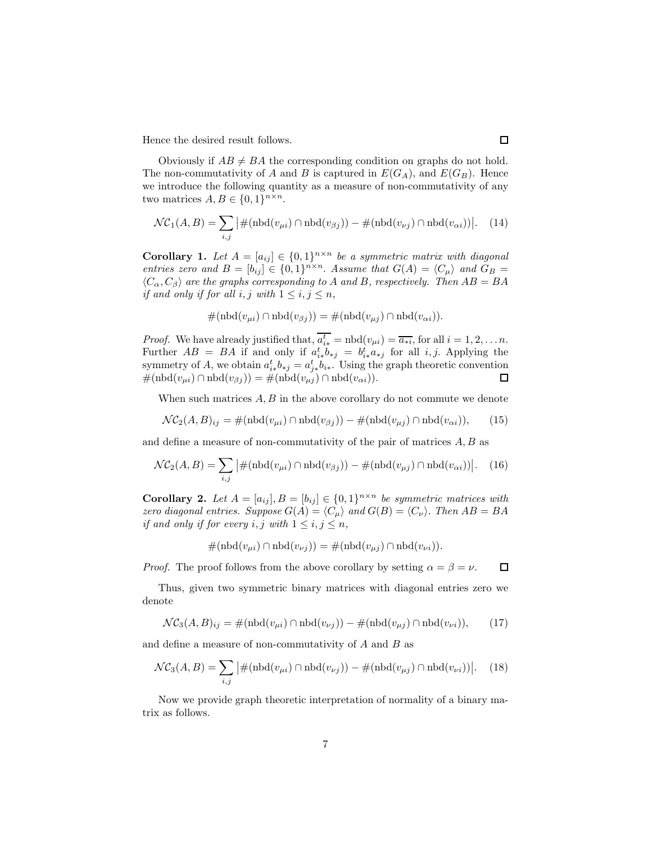Hence the desired result follows.

Obviously if  $AB \neq BA$  the corresponding condition on graphs do not hold. The non-commutativity of A and B is captured in  $E(G_A)$ , and  $E(G_B)$ . Hence we introduce the following quantity as a measure of non-commutativity of any two matrices  $A, B \in \{0, 1\}^{n \times n}$ .

$$
\mathcal{NC}_1(A, B) = \sum_{i,j} \left| \#(\text{nbd}(v_{\mu i}) \cap \text{nbd}(v_{\beta j})) - \#(\text{nbd}(v_{\nu j}) \cap \text{nbd}(v_{\alpha i})) \right|.
$$
 (14)

**Corollary 1.** Let  $A = [a_{ij}] \in \{0,1\}^{n \times n}$  be a symmetric matrix with diagonal *entries zero and*  $B = [b_{ij}] \in \{0,1\}^{n \times n}$ . *Assume that*  $G(A) = \langle C_{\mu} \rangle$  *and*  $G_B =$  $\langle C_{\alpha}, C_{\beta} \rangle$  are the graphs corresponding to A and B, respectively. Then  $AB = BA$ *if and only if for all i, j with*  $1 \leq i, j \leq n$ ,

$$
#(nbd(v_{\mu i}) \cap nbd(v_{\beta j})) = #(nbd(v_{\mu j}) \cap nbd(v_{\alpha i})).
$$

*Proof.* We have already justified that,  $\overline{a_{i*}^t} = \text{nbd}(v_{\mu i}) = \overline{a_{*i}}$ , for all  $i = 1, 2, \ldots n$ . Further  $AB = BA$  if and only if  $a_{i*}^t b_{*j} = b_{i*}^t a_{*j}$  for all i, j. Applying the symmetry of A, we obtain  $a_{i*}^t b_{*j} = a_{j*}^t b_{i*}$ . Using the graph theoretic convention  $\#(\text{nbd}(v_{\mu i}) \cap \text{nbd}(v_{\beta i})) = \#(\text{nbd}(v_{\mu i}) \cap \text{nbd}(v_{\alpha i})).$  $\Box$ 

When such matrices  $A, B$  in the above corollary do not commute we denote

$$
\mathcal{NC}_2(A, B)_{ij} = \#(\text{nbd}(v_{\mu i}) \cap \text{nbd}(v_{\beta j})) - \#(\text{nbd}(v_{\mu j}) \cap \text{nbd}(v_{\alpha i})),\tag{15}
$$

and define a measure of non-commutativity of the pair of matrices  $A, B$  as

$$
\mathcal{NC}_2(A, B) = \sum_{i,j} \left| \#(\text{nbd}(v_{\mu i}) \cap \text{nbd}(v_{\beta j})) - \#(\text{nbd}(v_{\mu j}) \cap \text{nbd}(v_{\alpha i})) \right|.
$$
 (16)

**Corollary 2.** Let  $A = [a_{ij}], B = [b_{ij}] \in \{0,1\}^{n \times n}$  be symmetric matrices with *zero diagonal entries. Suppose*  $G(A) = \langle C_{\mu} \rangle$  *and*  $G(B) = \langle C_{\nu} \rangle$ . *Then*  $AB = BA$ *if and only if for every i, j with*  $1 \leq i, j \leq n$ ,

$$
#(nbd(v_{\mu i}) \cap nbd(v_{\nu j})) = #(nbd(v_{\mu j}) \cap nbd(v_{\nu i})).
$$

*Proof.* The proof follows from the above corollary by setting  $\alpha = \beta = \nu$ .  $\Box$ 

Thus, given two symmetric binary matrices with diagonal entries zero we denote

$$
\mathcal{NC}_3(A, B)_{ij} = \#(\text{nbd}(v_{\mu i}) \cap \text{nbd}(v_{\nu j})) - \#(\text{nbd}(v_{\mu j}) \cap \text{nbd}(v_{\nu i})),\tag{17}
$$

and define a measure of non-commutativity of  $A$  and  $B$  as

$$
\mathcal{NC}_3(A, B) = \sum_{i,j} \left| \#(\text{nbd}(v_{\mu i}) \cap \text{nbd}(v_{\nu j})) - \#(\text{nbd}(v_{\mu j}) \cap \text{nbd}(v_{\nu i})) \right|.
$$
 (18)

Now we provide graph theoretic interpretation of normality of a binary matrix as follows.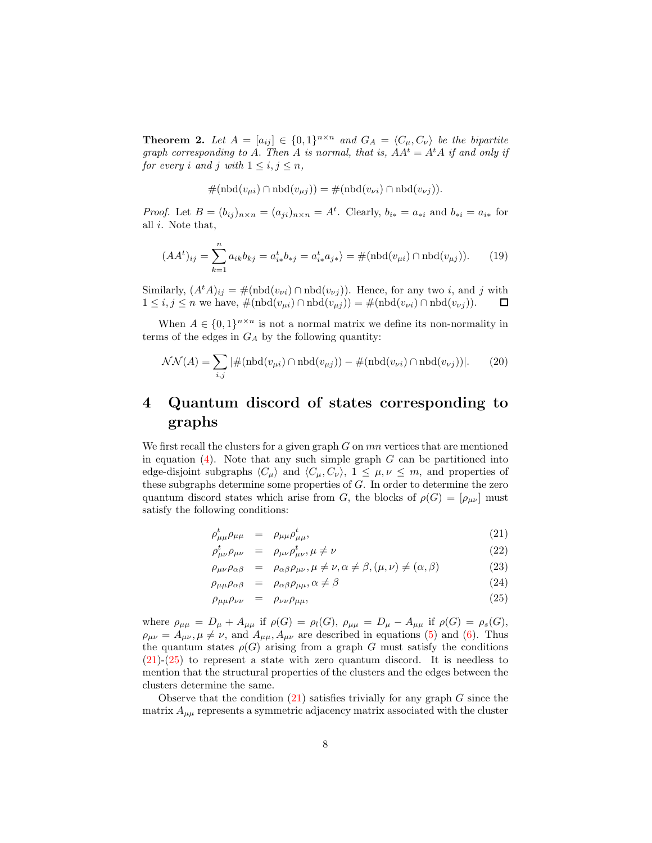**Theorem 2.** Let  $A = [a_{ij}] \in \{0,1\}^{n \times n}$  and  $G_A = \langle C_\mu, C_\nu \rangle$  be the bipartite *graph corresponding to* A. *Then* A *is normal, that is,*  $AA^t = A^tA$  *if and only if for every i* and *j* with  $1 \le i, j \le n$ ,

$$
\#(\text{nbd}(v_{\mu i}) \cap \text{nbd}(v_{\mu j})) = \#(\text{nbd}(v_{\nu i}) \cap \text{nbd}(v_{\nu j})).
$$

*Proof.* Let  $B = (b_{ij})_{n \times n} = (a_{ji})_{n \times n} = A^t$ . Clearly,  $b_{i*} = a_{*i}$  and  $b_{*i} = a_{i*}$  for all i. Note that,

$$
(AAt)ij = \sum_{k=1}^{n} a_{ik} b_{kj} = a_{i*}^{t} b_{*j} = a_{i*}^{t} a_{j*} = \#(\text{nbd}(v_{\mu i}) \cap \text{nbd}(v_{\mu j})).
$$
 (19)

Similarly,  $(A<sup>t</sup>A)_{ij} = \#(\text{nbd}(v_{\nu i}) \cap \text{nbd}(v_{\nu j}))$ . Hence, for any two *i*, and *j* with  $1 \leq i, j \leq n$  we have,  $\#(\text{nbd}(v_{\mu i}) \cap \text{nbd}(v_{\mu j})) = \#(\text{nbd}(v_{\nu i}) \cap \text{nbd}(v_{\nu j})).$  $\Box$ 

When  $A \in \{0,1\}^{n \times n}$  is not a normal matrix we define its non-normality in terms of the edges in  $G_A$  by the following quantity:

$$
\mathcal{NN}(A) = \sum_{i,j} |\#(\text{nbd}(v_{\mu i}) \cap \text{nbd}(v_{\mu j})) - \#(\text{nbd}(v_{\nu i}) \cap \text{nbd}(v_{\nu j}))|.
$$
 (20)

# 4 Quantum discord of states corresponding to graphs

We first recall the clusters for a given graph  $G$  on  $mn$  vertices that are mentioned in equation  $(4)$ . Note that any such simple graph G can be partitioned into edge-disjoint subgraphs  $\langle C_{\mu} \rangle$  and  $\langle C_{\mu}, C_{\nu} \rangle$ ,  $1 \leq \mu, \nu \leq m$ , and properties of these subgraphs determine some properties of G. In order to determine the zero quantum discord states which arise from G, the blocks of  $\rho(G) = [\rho_{\mu\nu}]$  must satisfy the following conditions:

$$
\rho_{\mu\mu}^t \rho_{\mu\mu} = \rho_{\mu\mu} \rho_{\mu\mu}^t,\tag{21}
$$

$$
\rho^t_{\mu\nu}\rho_{\mu\nu} = \rho_{\mu\nu}\rho^t_{\mu\nu}, \mu \neq \nu \tag{22}
$$

$$
\rho_{\mu\nu}\rho_{\alpha\beta} = \rho_{\alpha\beta}\rho_{\mu\nu}, \mu \neq \nu, \alpha \neq \beta, (\mu, \nu) \neq (\alpha, \beta) \tag{23}
$$

$$
\rho_{\mu\mu}\rho_{\alpha\beta} = \rho_{\alpha\beta}\rho_{\mu\mu}, \alpha \neq \beta \tag{24}
$$

$$
\rho_{\mu\mu}\rho_{\nu\nu} = \rho_{\nu\nu}\rho_{\mu\mu},\tag{25}
$$

where  $\rho_{\mu\mu} = D_{\mu} + A_{\mu\mu}$  if  $\rho(G) = \rho_l(G)$ ,  $\rho_{\mu\mu} = D_{\mu} - A_{\mu\mu}$  if  $\rho(G) = \rho_s(G)$ ,  $\rho_{\mu\nu} = A_{\mu\nu}, \mu \neq \nu$ , and  $A_{\mu\mu}, A_{\mu\nu}$  are described in equations (5) and (6). Thus the quantum states  $\rho(G)$  arising from a graph G must satisfy the conditions  $(21)-(25)$  to represent a state with zero quantum discord. It is needless to mention that the structural properties of the clusters and the edges between the clusters determine the same.

Observe that the condition  $(21)$  satisfies trivially for any graph G since the matrix  $A_{\mu\mu}$  represents a symmetric adjacency matrix associated with the cluster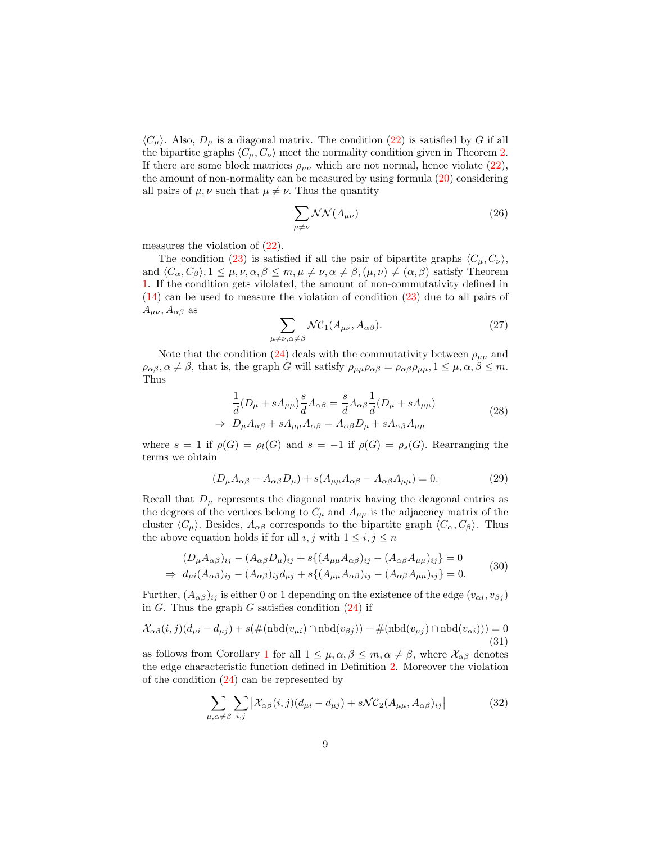$\langle C_{\mu} \rangle$ . Also,  $D_{\mu}$  is a diagonal matrix. The condition (22) is satisfied by G if all the bipartite graphs  $\langle C_\mu, C_\nu \rangle$  meet the normality condition given in Theorem 2. If there are some block matrices  $\rho_{\mu\nu}$  which are not normal, hence violate (22), the amount of non-normality can be measured by using formula (20) considering all pairs of  $\mu, \nu$  such that  $\mu \neq \nu$ . Thus the quantity

$$
\sum_{\mu \neq \nu} \mathcal{NN}(A_{\mu\nu}) \tag{26}
$$

measures the violation of (22).

The condition (23) is satisfied if all the pair of bipartite graphs  $\langle C_{\mu}, C_{\nu} \rangle$ , and  $\langle C_{\alpha}, C_{\beta} \rangle, 1 \leq \mu, \nu, \alpha, \beta \leq m, \mu \neq \nu, \alpha \neq \beta, (\mu, \nu) \neq (\alpha, \beta)$  satisfy Theorem 1. If the condition gets vilolated, the amount of non-commutativity defined in (14) can be used to measure the violation of condition (23) due to all pairs of  $A_{\mu\nu}$ ,  $A_{\alpha\beta}$  as

$$
\sum_{\mu\nu,\alpha\neq\beta} \mathcal{N}\mathcal{C}_1(A_{\mu\nu}, A_{\alpha\beta}).\tag{27}
$$

Note that the condition (24) deals with the commutativity between  $\rho_{\mu\mu}$  and  $\rho_{\alpha\beta}, \alpha \neq \beta$ , that is, the graph G will satisfy  $\rho_{\mu\mu}\rho_{\alpha\beta} = \rho_{\alpha\beta}\rho_{\mu\mu}, 1 \leq \mu, \alpha, \beta \leq m$ . Thus

 $\mu_{\overline{2}}$ 

$$
\frac{1}{d}(D_{\mu} + sA_{\mu\mu})\frac{s}{d}A_{\alpha\beta} = \frac{s}{d}A_{\alpha\beta}\frac{1}{d}(D_{\mu} + sA_{\mu\mu})
$$
\n
$$
\Rightarrow D_{\mu}A_{\alpha\beta} + sA_{\mu\mu}A_{\alpha\beta} = A_{\alpha\beta}D_{\mu} + sA_{\alpha\beta}A_{\mu\mu}
$$
\n(28)

where  $s = 1$  if  $\rho(G) = \rho_l(G)$  and  $s = -1$  if  $\rho(G) = \rho_s(G)$ . Rearranging the terms we obtain

$$
(D_{\mu}A_{\alpha\beta} - A_{\alpha\beta}D_{\mu}) + s(A_{\mu\mu}A_{\alpha\beta} - A_{\alpha\beta}A_{\mu\mu}) = 0.
$$
 (29)

Recall that  $D_{\mu}$  represents the diagonal matrix having the deagonal entries as the degrees of the vertices belong to  $C_{\mu}$  and  $A_{\mu\mu}$  is the adjacency matrix of the cluster  $\langle C_{\mu} \rangle$ . Besides,  $A_{\alpha\beta}$  corresponds to the bipartite graph  $\langle C_{\alpha}, C_{\beta} \rangle$ . Thus the above equation holds if for all  $i, j$  with  $1 \leq i, j \leq n$ 

$$
(D_{\mu}A_{\alpha\beta})_{ij} - (A_{\alpha\beta}D_{\mu})_{ij} + s\{(A_{\mu\mu}A_{\alpha\beta})_{ij} - (A_{\alpha\beta}A_{\mu\mu})_{ij}\} = 0
$$
  
\n
$$
\Rightarrow d_{\mu i}(A_{\alpha\beta})_{ij} - (A_{\alpha\beta})_{ij}d_{\mu j} + s\{(A_{\mu\mu}A_{\alpha\beta})_{ij} - (A_{\alpha\beta}A_{\mu\mu})_{ij}\} = 0.
$$
 (30)

Further,  $(A_{\alpha\beta})_{ij}$  is either 0 or 1 depending on the existence of the edge  $(v_{\alpha i}, v_{\beta j})$ in G. Thus the graph G satisfies condition  $(24)$  if

$$
\mathcal{X}_{\alpha\beta}(i,j)(d_{\mu i} - d_{\mu j}) + s(\#(\text{nbd}(v_{\mu i}) \cap \text{nbd}(v_{\beta j})) - \#(\text{nbd}(v_{\mu j}) \cap \text{nbd}(v_{\alpha i}))) = 0
$$
\n(31)

as follows from Corollary 1 for all  $1 \leq \mu, \alpha, \beta \leq m, \alpha \neq \beta$ , where  $\mathcal{X}_{\alpha\beta}$  denotes the edge characteristic function defined in Definition 2. Moreover the violation of the condition  $(24)$  can be represented by

$$
\sum_{\mu,\alpha \neq \beta} \sum_{i,j} \left| \mathcal{X}_{\alpha\beta}(i,j) (d_{\mu i} - d_{\mu j}) + s \mathcal{N} \mathcal{C}_2(A_{\mu\mu}, A_{\alpha\beta})_{ij} \right| \tag{32}
$$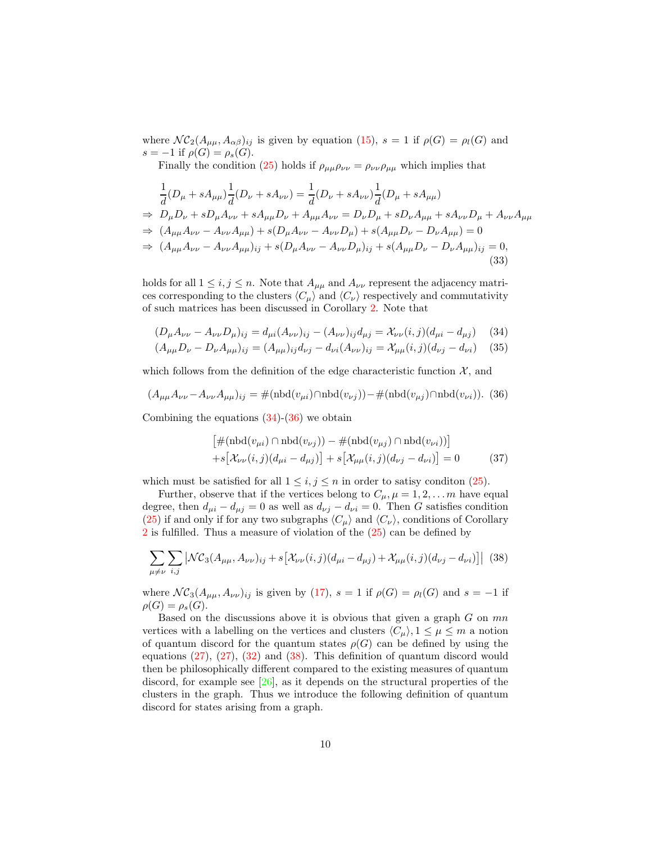where  $\mathcal{NC}_2(A_{\mu\mu}, A_{\alpha\beta})_{ij}$  is given by equation (15),  $s = 1$  if  $\rho(G) = \rho_l(G)$  and s = -1 if  $\rho(G) = \rho_s(G)$ .

Finally the condition (25) holds if  $\rho_{\mu\mu}\rho_{\nu\nu} = \rho_{\nu\nu}\rho_{\mu\mu}$  which implies that

$$
\frac{1}{d}(D_{\mu} + sA_{\mu\mu})\frac{1}{d}(D_{\nu} + sA_{\nu\nu}) = \frac{1}{d}(D_{\nu} + sA_{\nu\nu})\frac{1}{d}(D_{\mu} + sA_{\mu\mu})
$$
\n
$$
\Rightarrow D_{\mu}D_{\nu} + sD_{\mu}A_{\nu\nu} + sA_{\mu\mu}D_{\nu} + A_{\mu\mu}A_{\nu\nu} = D_{\nu}D_{\mu} + sD_{\nu}A_{\mu\mu} + sA_{\nu\nu}D_{\mu} + A_{\nu\nu}A_{\mu\mu}
$$
\n
$$
\Rightarrow (A_{\mu\mu}A_{\nu\nu} - A_{\nu\nu}A_{\mu\mu}) + s(D_{\mu}A_{\nu\nu} - A_{\nu\nu}D_{\mu}) + s(A_{\mu\mu}D_{\nu} - D_{\nu}A_{\mu\mu}) = 0
$$
\n
$$
\Rightarrow (A_{\mu\mu}A_{\nu\nu} - A_{\nu\nu}A_{\mu\mu})_{ij} + s(D_{\mu}A_{\nu\nu} - A_{\nu\nu}D_{\mu})_{ij} + s(A_{\mu\mu}D_{\nu} - D_{\nu}A_{\mu\mu})_{ij} = 0,
$$
\n(33)

holds for all  $1 \leq i, j \leq n$ . Note that  $A_{\mu\mu}$  and  $A_{\nu\nu}$  represent the adjacency matrices corresponding to the clusters  $\langle C_{\mu} \rangle$  and  $\langle C_{\nu} \rangle$  respectively and commutativity of such matrices has been discussed in Corollary 2. Note that

$$
(D_{\mu}A_{\nu\nu} - A_{\nu\nu}D_{\mu})_{ij} = d_{\mu i}(A_{\nu\nu})_{ij} - (A_{\nu\nu})_{ij}d_{\mu j} = \mathcal{X}_{\nu\nu}(i,j)(d_{\mu i} - d_{\mu j}) \quad (34)
$$

$$
(A_{\mu\mu}D_{\nu} - D_{\nu}A_{\mu\mu})_{ij} = (A_{\mu\mu})_{ij}d_{\nu j} - d_{\nu i}(A_{\nu\nu})_{ij} = \mathcal{X}_{\mu\mu}(i,j)(d_{\nu j} - d_{\nu i}) \quad (35)
$$

which follows from the definition of the edge characteristic function  $\mathcal{X}$ , and

$$
(A_{\mu\mu}A_{\nu\nu} - A_{\nu\nu}A_{\mu\mu})_{ij} = \#(\text{nbd}(v_{\mu i}) \cap \text{nbd}(v_{\nu j})) - \#(\text{nbd}(v_{\mu j}) \cap \text{nbd}(v_{\nu i})).
$$
 (36)

Combining the equations  $(34)-(36)$  we obtain

$$
\left[\#(\text{nbd}(v_{\mu i}) \cap \text{nbd}(v_{\nu j})) - \#(\text{nbd}(v_{\mu j}) \cap \text{nbd}(v_{\nu i}))\right] + s[\mathcal{X}_{\nu\nu}(i,j)(d_{\mu i} - d_{\mu j})] + s[\mathcal{X}_{\mu\mu}(i,j)(d_{\nu j} - d_{\nu i})] = 0
$$
(37)

which must be satisfied for all  $1 \leq i, j \leq n$  in order to satisy condition (25).

Further, observe that if the vertices belong to  $C_{\mu}$ ,  $\mu = 1, 2, \dots m$  have equal degree, then  $d_{\mu i} - d_{\mu j} = 0$  as well as  $d_{\nu j} - d_{\nu i} = 0$ . Then G satisfies condition (25) if and only if for any two subgraphs  $\langle C_{\mu} \rangle$  and  $\langle C_{\nu} \rangle$ , conditions of Corollary 2 is fulfilled. Thus a measure of violation of the  $(25)$  can be defined by

$$
\sum_{\mu \neq \nu} \sum_{i,j} \left| \mathcal{NC}_3(A_{\mu\mu}, A_{\nu\nu})_{ij} + s \left[ \mathcal{X}_{\nu\nu}(i,j) (d_{\mu i} - d_{\mu j}) + \mathcal{X}_{\mu\mu}(i,j) (d_{\nu j} - d_{\nu i}) \right] \right| \tag{38}
$$

where  $\mathcal{NC}_3(A_{\mu\mu}, A_{\nu\nu})_{ij}$  is given by (17),  $s = 1$  if  $\rho(G) = \rho_l(G)$  and  $s = -1$  if  $\rho(G) = \rho_s(G).$ 

Based on the discussions above it is obvious that given a graph  $G$  on  $mn$ vertices with a labelling on the vertices and clusters  $\langle C_\mu \rangle$ ,  $1 \leq \mu \leq m$  a notion of quantum discord for the quantum states  $\rho(G)$  can be defined by using the equations (27), (27), (32) and (38). This definition of quantum discord would then be philosophically different compared to the existing measures of quantum discord, for example see [26], as it depends on the structural properties of the clusters in the graph. Thus we introduce the following definition of quantum discord for states arising from a graph.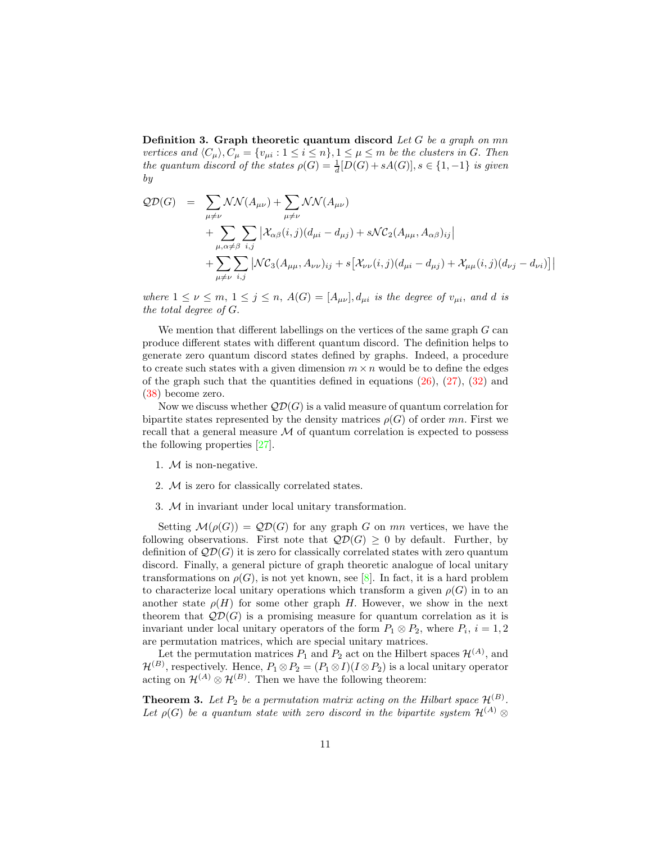Definition 3. Graph theoretic quantum discord *Let* G *be a graph on* mn *vertices and*  $\langle C_{\mu} \rangle, C_{\mu} = \{v_{\mu i} : 1 \le i \le n\}, 1 \le \mu \le m$  *be the clusters in G. Then the quantum discord of the states*  $\rho(G) = \frac{1}{d}[D(G) + sA(G)], s \in \{1, -1\}$  *is given by*

$$
QD(G) = \sum_{\mu \neq \nu} \mathcal{NN}(A_{\mu\nu}) + \sum_{\mu \neq \nu} \mathcal{NN}(A_{\mu\nu})
$$
  
+ 
$$
\sum_{\mu, \alpha \neq \beta} \sum_{i,j} \left| \mathcal{X}_{\alpha\beta}(i,j) (d_{\mu i} - d_{\mu j}) + s \mathcal{NC}_2(A_{\mu\mu}, A_{\alpha\beta})_{ij} \right|
$$
  
+ 
$$
\sum_{\mu \neq \nu} \sum_{i,j} \left| \mathcal{NC}_3(A_{\mu\mu}, A_{\nu\nu})_{ij} + s \left[ \mathcal{X}_{\nu\nu}(i,j) (d_{\mu i} - d_{\mu j}) + \mathcal{X}_{\mu\mu}(i,j) (d_{\nu j} - d_{\nu i}) \right] \right|
$$

*where*  $1 \leq \nu \leq m, 1 \leq j \leq n, A(G) = [A_{\mu\nu}], d_{\mu i}$  *is the degree of*  $v_{\mu i}$ *, and d is the total degree of* G.

We mention that different labellings on the vertices of the same graph  $G$  can produce different states with different quantum discord. The definition helps to generate zero quantum discord states defined by graphs. Indeed, a procedure to create such states with a given dimension  $m \times n$  would be to define the edges of the graph such that the quantities defined in equations  $(26)$ ,  $(27)$ ,  $(32)$  and (38) become zero.

Now we discuss whether  $\mathcal{QD}(G)$  is a valid measure of quantum correlation for bipartite states represented by the density matrices  $\rho(G)$  of order mn. First we recall that a general measure  $M$  of quantum correlation is expected to possess the following properties [27].

- 1.  $M$  is non-negative.
- 2. M is zero for classically correlated states.
- 3. M in invariant under local unitary transformation.

Setting  $\mathcal{M}(\rho(G)) = \mathcal{QD}(G)$  for any graph G on mn vertices, we have the following observations. First note that  $\mathcal{QD}(G) > 0$  by default. Further, by definition of  $\mathcal{QD}(G)$  it is zero for classically correlated states with zero quantum discord. Finally, a general picture of graph theoretic analogue of local unitary transformations on  $\rho(G)$ , is not yet known, see [8]. In fact, it is a hard problem to characterize local unitary operations which transform a given  $\rho(G)$  in to an another state  $\rho(H)$  for some other graph H. However, we show in the next theorem that  $\mathcal{QD}(G)$  is a promising measure for quantum correlation as it is invariant under local unitary operators of the form  $P_1 \otimes P_2$ , where  $P_i$ ,  $i = 1, 2$ are permutation matrices, which are special unitary matrices.

Let the permutation matrices  $P_1$  and  $P_2$  act on the Hilbert spaces  $\mathcal{H}^{(A)}$ , and  $\mathcal{H}^{(B)}$ , respectively. Hence,  $P_1 \otimes P_2 = (P_1 \otimes I)(I \otimes P_2)$  is a local unitary operator acting on  $\mathcal{H}^{(A)} \otimes \mathcal{H}^{(B)}$ . Then we have the following theorem:

**Theorem 3.** Let  $P_2$  be a permutation matrix acting on the Hilbart space  $\mathcal{H}^{(B)}$ . Let  $\rho(G)$  be a quantum state with zero discord in the bipartite system  $\mathcal{H}^{(A)}$  ⊗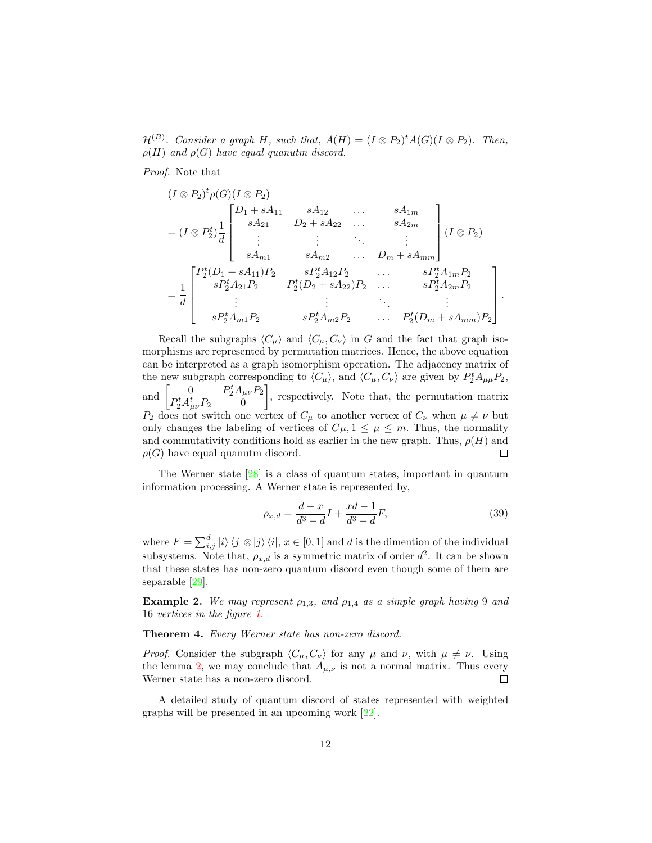$\mathcal{H}^{(B)}$ *. Consider a graph* H, such that,  $A(H) = (I \otimes P_2)^t A(G) (I \otimes P_2)$ *. Then,*  $\rho(H)$  *and*  $\rho(G)$  *have equal quanutm discord.* 

*Proof.* Note that

$$
(I \otimes P_2)^t \rho(G)(I \otimes P_2)
$$
\n
$$
= (I \otimes P_2^t) \frac{1}{d} \begin{bmatrix} D_1 + sA_{11} & sA_{12} & \cdots & sA_{1m} \\ sA_{21} & D_2 + sA_{22} & \cdots & sA_{2m} \\ \vdots & \vdots & \ddots & \vdots \\ sA_{m1} & sA_{m2} & \cdots & D_m + sA_{mm} \end{bmatrix} (I \otimes P_2)
$$
\n
$$
= \frac{1}{d} \begin{bmatrix} P_2^t(D_1 + sA_{11})P_2 & sP_2^tA_{12}P_2 & \cdots & sP_2^tA_{1m}P_2 \\ sP_2^tA_{21}P_2 & P_2^t(D_2 + sA_{22})P_2 & \cdots & sP_2^tA_{2m}P_2 \\ \vdots & \vdots & \ddots & \vdots \\ sP_2^tA_{m1}P_2 & sP_2^tA_{m2}P_2 & \cdots & P_2^t(D_m + sA_{mm})P_2 \end{bmatrix}.
$$

Recall the subgraphs  $\langle C_{\mu} \rangle$  and  $\langle C_{\mu}, C_{\nu} \rangle$  in G and the fact that graph isomorphisms are represented by permutation matrices. Hence, the above equation can be interpreted as a graph isomorphism operation. The adjacency matrix of the new subgraph corresponding to  $\langle C_{\mu} \rangle$ , and  $\langle C_{\mu}, C_{\nu} \rangle$  are given by  $P_2^t A_{\mu\mu} P_2$ ,  $\left[\frac{\partial^t A_{\mu\nu} P_2}{\partial \rho}\right]$ , respectively. Note that, the permutation matrix  $0$  F and  $P_2^t A_{\mu\nu}^t P_2$  0  $P_2$  does not switch one vertex of  $C_{\mu}$  to another vertex of  $C_{\nu}$  when  $\mu \neq \nu$  but only changes the labeling of vertices of  $C\mu$ ,  $1 \leq \mu \leq m$ . Thus, the normality and commutativity conditions hold as earlier in the new graph. Thus,  $\rho(H)$  and  $\rho(G)$  have equal quanutm discord.  $\Box$ 

The Werner state [28] is a class of quantum states, important in quantum information processing. A Werner state is represented by,

$$
\rho_{x,d} = \frac{d-x}{d^3 - d} I + \frac{xd - 1}{d^3 - d} F,\tag{39}
$$

where  $F = \sum_{i,j}^d |i\rangle\langle j| \otimes |j\rangle\langle i|, x \in [0,1]$  and d is the dimention of the individual subsystems. Note that,  $\rho_{x,d}$  is a symmetric matrix of order  $d^2$ . It can be shown that these states has non-zero quantum discord even though some of them are separable [29].

**Example 2.** We may represent  $\rho_{1,3}$ , and  $\rho_{1,4}$  as a simple graph having 9 and 16 *vertices in the figure 1.*

Theorem 4. *Every Werner state has non-zero discord.*

*Proof.* Consider the subgraph  $\langle C_{\mu}, C_{\nu} \rangle$  for any  $\mu$  and  $\nu$ , with  $\mu \neq \nu$ . Using the lemma 2, we may conclude that  $A_{\mu,\nu}$  is not a normal matrix. Thus every Werner state has a non-zero discord. Werner state has a non-zero discord.

A detailed study of quantum discord of states represented with weighted graphs will be presented in an upcoming work [22].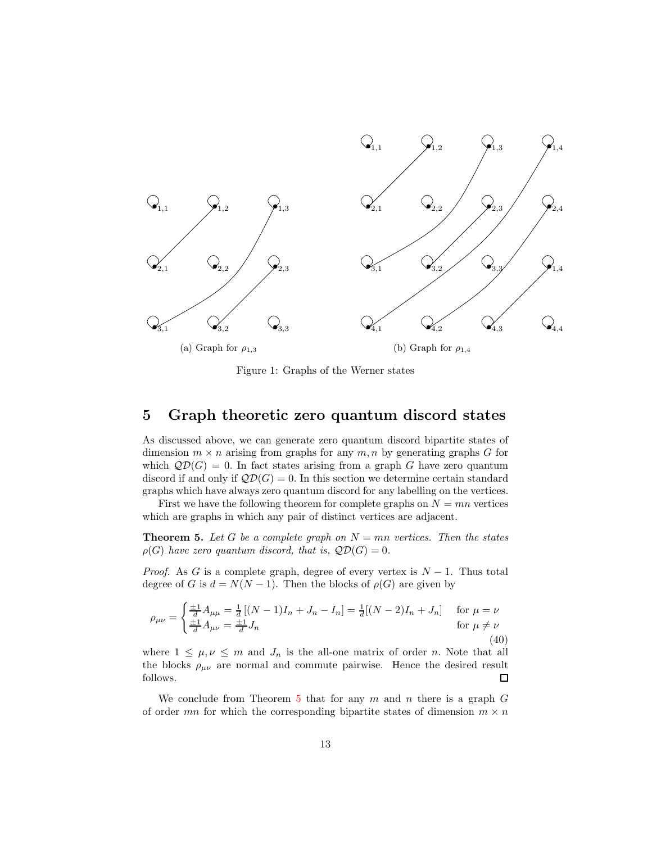

Figure 1: Graphs of the Werner states

### 5 Graph theoretic zero quantum discord states

As discussed above, we can generate zero quantum discord bipartite states of dimension  $m \times n$  arising from graphs for any  $m, n$  by generating graphs G for which  $\mathcal{QD}(G) = 0$ . In fact states arising from a graph G have zero quantum discord if and only if  $\mathcal{QD}(G) = 0$ . In this section we determine certain standard graphs which have always zero quantum discord for any labelling on the vertices.

First we have the following theorem for complete graphs on  $N = mn$  vertices which are graphs in which any pair of distinct vertices are adjacent.

**Theorem 5.** Let G be a complete graph on  $N = mn$  vertices. Then the states  $\rho(G)$  have zero quantum discord, that is,  $\mathcal{QD}(G) = 0$ .

*Proof.* As G is a complete graph, degree of every vertex is  $N-1$ . Thus total degree of G is  $d = N(N-1)$ . Then the blocks of  $\rho(G)$  are given by

$$
\rho_{\mu\nu} = \begin{cases} \frac{\pm 1}{d} A_{\mu\mu} = \frac{1}{d} \left[ (N-1)I_n + J_n - I_n \right] = \frac{1}{d} \left[ (N-2)I_n + J_n \right] & \text{for } \mu = \nu \\ \frac{\pm 1}{d} A_{\mu\nu} = \frac{\pm 1}{d} J_n & \text{for } \mu \neq \nu \end{cases}
$$
(40)

where  $1 \leq \mu, \nu \leq m$  and  $J_n$  is the all-one matrix of order n. Note that all the blocks  $\rho_{\mu\nu}$  are normal and commute pairwise. Hence the desired result follows.  $\Box$ 

We conclude from Theorem 5 that for any  $m$  and  $n$  there is a graph  $G$ of order mn for which the corresponding bipartite states of dimension  $m \times n$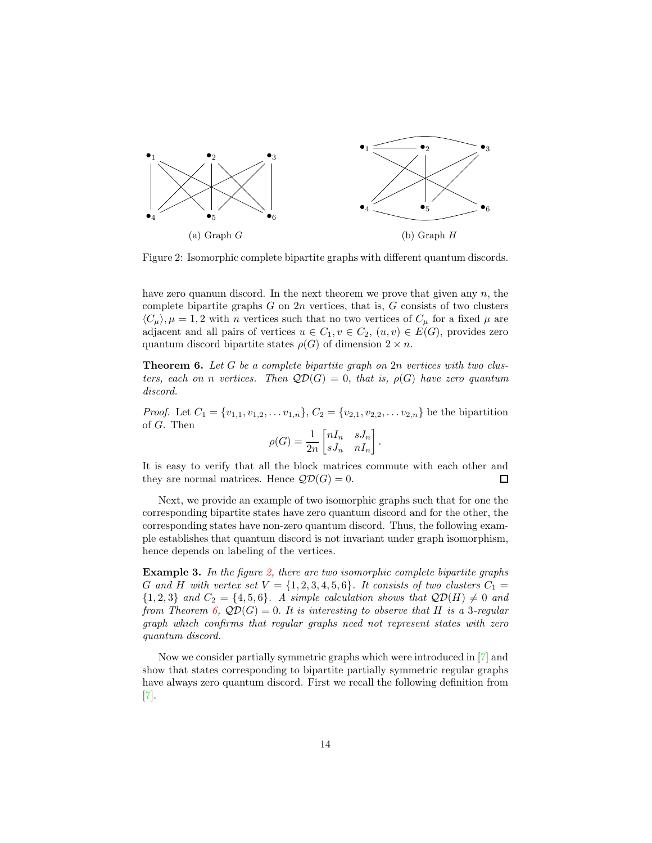

Figure 2: Isomorphic complete bipartite graphs with different quantum discords.

have zero quanum discord. In the next theorem we prove that given any  $n$ , the complete bipartite graphs  $G$  on  $2n$  vertices, that is,  $G$  consists of two clusters  $\langle C_\mu \rangle$ ,  $\mu = 1, 2$  with n vertices such that no two vertices of  $C_\mu$  for a fixed  $\mu$  are adjacent and all pairs of vertices  $u \in C_1, v \in C_2$ ,  $(u, v) \in E(G)$ , provides zero quantum discord bipartite states  $\rho(G)$  of dimension  $2 \times n$ .

Theorem 6. *Let* G *be a complete bipartite graph on* 2n *vertices with two clusters, each on n vertices.* Then  $\mathcal{QD}(G) = 0$ , *that is,*  $\rho(G)$  *have zero quantum discord.*

*Proof.* Let  $C_1 = \{v_{1,1}, v_{1,2}, \ldots v_{1,n}\}, C_2 = \{v_{2,1}, v_{2,2}, \ldots v_{2,n}\}$  be the bipartition of G. Then

$$
\rho(G) = \frac{1}{2n} \begin{bmatrix} nI_n & sJ_n \\ sJ_n & nI_n \end{bmatrix}.
$$

It is easy to verify that all the block matrices commute with each other and they are normal matrices. Hence  $\mathcal{QD}(G) = 0$ .  $\Box$ 

Next, we provide an example of two isomorphic graphs such that for one the corresponding bipartite states have zero quantum discord and for the other, the corresponding states have non-zero quantum discord. Thus, the following example establishes that quantum discord is not invariant under graph isomorphism, hence depends on labeling of the vertices.

Example 3. *In the figure 2, there are two isomorphic complete bipartite graphs* G and H with vertex set  $V = \{1, 2, 3, 4, 5, 6\}$ . It consists of two clusters  $C_1 =$  ${1, 2, 3}$  *and*  $C_2 = {4, 5, 6}$ *. A simple calculation shows that*  $\mathcal{QD}(H) \neq 0$  *and from Theorem 6,*  $\mathcal{QD}(G) = 0$ . It is interesting to observe that H is a 3-regular *graph which confirms that regular graphs need not represent states with zero quantum discord.*

Now we consider partially symmetric graphs which were introduced in [7] and show that states corresponding to bipartite partially symmetric regular graphs have always zero quantum discord. First we recall the following definition from [7].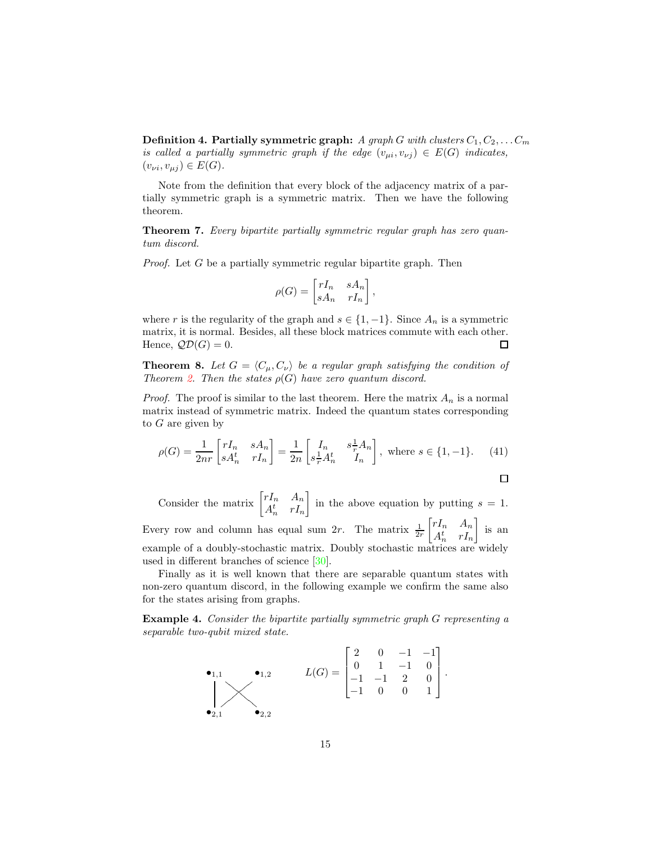**Definition 4. Partially symmetric graph:** *A graph* G with clusters  $C_1, C_2, \ldots, C_m$ *is called a partially symmetric graph if the edge*  $(v_{\mu i}, v_{\nu j}) \in E(G)$  *indicates,*  $(v_{\nu i}, v_{\mu j}) \in E(G)$ .

Note from the definition that every block of the adjacency matrix of a partially symmetric graph is a symmetric matrix. Then we have the following theorem.

Theorem 7. *Every bipartite partially symmetric regular graph has zero quantum discord.*

*Proof.* Let G be a partially symmetric regular bipartite graph. Then

$$
\rho(G) = \begin{bmatrix} rI_n & sA_n \\ sA_n & rI_n \end{bmatrix},
$$

where r is the regularity of the graph and  $s \in \{1, -1\}$ . Since  $A_n$  is a symmetric matrix, it is normal. Besides, all these block matrices commute with each other. Hence,  $\mathcal{QD}(G) = 0$ .  $\Box$ 

**Theorem 8.** Let  $G = \langle C_\mu, C_\nu \rangle$  be a regular graph satisfying the condition of *Theorem 2. Then the states*  $\rho(G)$  *have zero quantum discord.* 

*Proof.* The proof is similar to the last theorem. Here the matrix  $A_n$  is a normal matrix instead of symmetric matrix. Indeed the quantum states corresponding to  $G$  are given by

$$
\rho(G) = \frac{1}{2nr} \begin{bmatrix} rI_n & sA_n \\ sA_n^t & rI_n \end{bmatrix} = \frac{1}{2n} \begin{bmatrix} I_n & s\frac{1}{r}A_n \\ s\frac{1}{r}A_n^t & I_n \end{bmatrix}, \text{ where } s \in \{1, -1\}. \tag{41}
$$

 $\Box$ 

Consider the matrix 
$$
\begin{bmatrix} rI_n & A_n \\ A_n^t & rI_n \end{bmatrix}
$$
 in the above equation by putting  $s = 1$ .  
Every row and column has equal sum  $2r$ . The matrix  $\frac{1}{2r} \begin{bmatrix} rI_n & A_n \\ A_n^t & rI_n \end{bmatrix}$  is an example of a doubly-stochastic matrix. Doubly stochastic matrices are widely used in different branches of science [30].

Finally as it is well known that there are separable quantum states with non-zero quantum discord, in the following example we confirm the same also for the states arising from graphs.

Example 4. *Consider the bipartite partially symmetric graph* G *representing a separable two-qubit mixed state.*

$$
\bullet_{1,1} \qquad \bullet_{1,2} \qquad L(G) = \begin{bmatrix} 2 & 0 & -1 & -1 \\ 0 & 1 & -1 & 0 \\ -1 & -1 & 2 & 0 \\ -1 & 0 & 0 & 1 \end{bmatrix}.
$$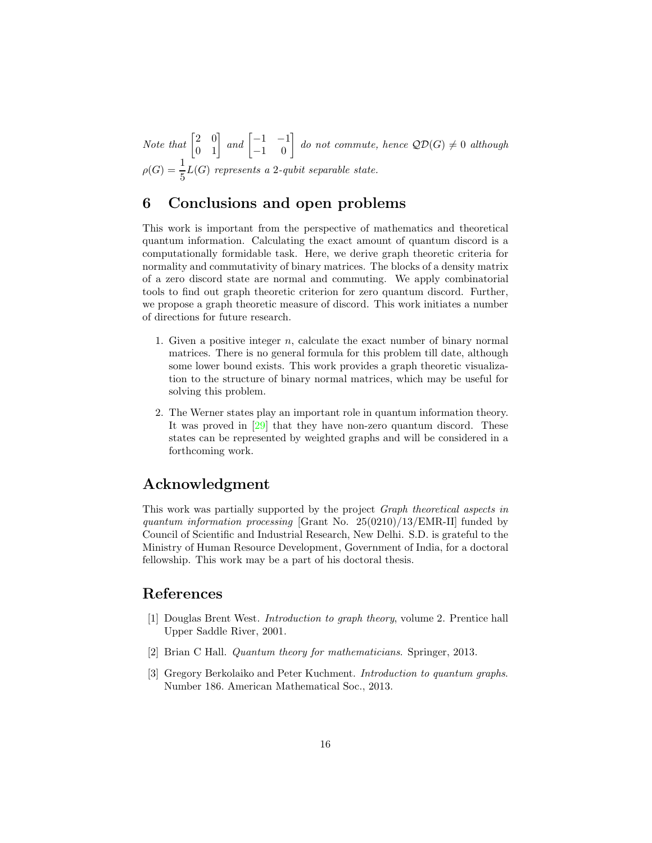*Note that*  $\begin{bmatrix} 2 & 0 \\ 0 & 1 \end{bmatrix}$  *and*  $\begin{bmatrix} -1 & -1 \\ -1 & 0 \end{bmatrix}$  *do not commute, hence*  $\mathcal{QD}(G) \neq 0$  *although*  $\rho(G) = \frac{1}{5}L(G)$  represents a 2-qubit separable state.

# 6 Conclusions and open problems

This work is important from the perspective of mathematics and theoretical quantum information. Calculating the exact amount of quantum discord is a computationally formidable task. Here, we derive graph theoretic criteria for normality and commutativity of binary matrices. The blocks of a density matrix of a zero discord state are normal and commuting. We apply combinatorial tools to find out graph theoretic criterion for zero quantum discord. Further, we propose a graph theoretic measure of discord. This work initiates a number of directions for future research.

- 1. Given a positive integer n, calculate the exact number of binary normal matrices. There is no general formula for this problem till date, although some lower bound exists. This work provides a graph theoretic visualization to the structure of binary normal matrices, which may be useful for solving this problem.
- 2. The Werner states play an important role in quantum information theory. It was proved in [29] that they have non-zero quantum discord. These states can be represented by weighted graphs and will be considered in a forthcoming work.

# Acknowledgment

This work was partially supported by the project *Graph theoretical aspects in quantum information processing* [Grant No. 25(0210)/13/EMR-II] funded by Council of Scientific and Industrial Research, New Delhi. S.D. is grateful to the Ministry of Human Resource Development, Government of India, for a doctoral fellowship. This work may be a part of his doctoral thesis.

# References

- [1] Douglas Brent West. *Introduction to graph theory*, volume 2. Prentice hall Upper Saddle River, 2001.
- [2] Brian C Hall. *Quantum theory for mathematicians*. Springer, 2013.
- [3] Gregory Berkolaiko and Peter Kuchment. *Introduction to quantum graphs*. Number 186. American Mathematical Soc., 2013.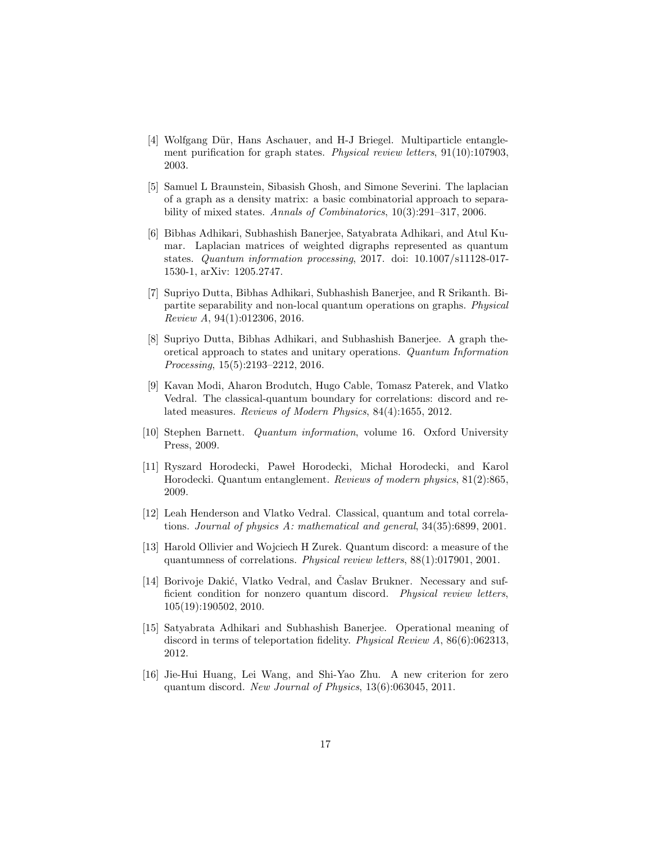- [4] Wolfgang Dür, Hans Aschauer, and H-J Briegel. Multiparticle entanglement purification for graph states. *Physical review letters*, 91(10):107903, 2003.
- [5] Samuel L Braunstein, Sibasish Ghosh, and Simone Severini. The laplacian of a graph as a density matrix: a basic combinatorial approach to separability of mixed states. *Annals of Combinatorics*, 10(3):291–317, 2006.
- [6] Bibhas Adhikari, Subhashish Banerjee, Satyabrata Adhikari, and Atul Kumar. Laplacian matrices of weighted digraphs represented as quantum states. *Quantum information processing*, 2017. doi: 10.1007/s11128-017- 1530-1, arXiv: 1205.2747.
- [7] Supriyo Dutta, Bibhas Adhikari, Subhashish Banerjee, and R Srikanth. Bipartite separability and non-local quantum operations on graphs. *Physical Review A*, 94(1):012306, 2016.
- [8] Supriyo Dutta, Bibhas Adhikari, and Subhashish Banerjee. A graph theoretical approach to states and unitary operations. *Quantum Information Processing*, 15(5):2193–2212, 2016.
- [9] Kavan Modi, Aharon Brodutch, Hugo Cable, Tomasz Paterek, and Vlatko Vedral. The classical-quantum boundary for correlations: discord and related measures. *Reviews of Modern Physics*, 84(4):1655, 2012.
- [10] Stephen Barnett. *Quantum information*, volume 16. Oxford University Press, 2009.
- [11] Ryszard Horodecki, Paweł Horodecki, Michał Horodecki, and Karol Horodecki. Quantum entanglement. *Reviews of modern physics*, 81(2):865, 2009.
- [12] Leah Henderson and Vlatko Vedral. Classical, quantum and total correlations. *Journal of physics A: mathematical and general*, 34(35):6899, 2001.
- [13] Harold Ollivier and Wojciech H Zurek. Quantum discord: a measure of the quantumness of correlations. *Physical review letters*, 88(1):017901, 2001.
- [14] Borivoje Dakić, Vlatko Vedral, and Časlav Brukner. Necessary and sufficient condition for nonzero quantum discord. *Physical review letters*, 105(19):190502, 2010.
- [15] Satyabrata Adhikari and Subhashish Banerjee. Operational meaning of discord in terms of teleportation fidelity. *Physical Review A*, 86(6):062313, 2012.
- [16] Jie-Hui Huang, Lei Wang, and Shi-Yao Zhu. A new criterion for zero quantum discord. *New Journal of Physics*, 13(6):063045, 2011.